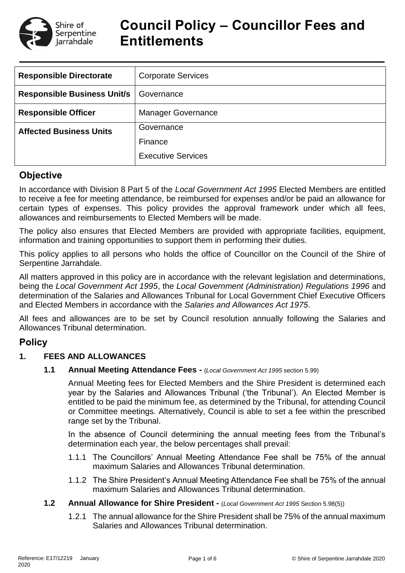

# **Council Policy – Councillor Fees and Entitlements**

| <b>Responsible Directorate</b>     | <b>Corporate Services</b> |  |  |  |
|------------------------------------|---------------------------|--|--|--|
| <b>Responsible Business Unit/s</b> | Governance                |  |  |  |
| <b>Responsible Officer</b>         | <b>Manager Governance</b> |  |  |  |
| <b>Affected Business Units</b>     | Governance                |  |  |  |
|                                    | Finance                   |  |  |  |
|                                    | <b>Executive Services</b> |  |  |  |

## **Objective**

In accordance with Division 8 Part 5 of the *Local Government Act 1995* Elected Members are entitled to receive a fee for meeting attendance, be reimbursed for expenses and/or be paid an allowance for certain types of expenses. This policy provides the approval framework under which all fees, allowances and reimbursements to Elected Members will be made.

The policy also ensures that Elected Members are provided with appropriate facilities, equipment, information and training opportunities to support them in performing their duties.

This policy applies to all persons who holds the office of Councillor on the Council of the Shire of Serpentine Jarrahdale.

All matters approved in this policy are in accordance with the relevant legislation and determinations, being the *Local Government Act 1995*, the *Local Government (Administration) Regulations 1996* and determination of the Salaries and Allowances Tribunal for Local Government Chief Executive Officers and Elected Members in accordance with the *Salaries and Allowances Act 1975*.

All fees and allowances are to be set by Council resolution annually following the Salaries and Allowances Tribunal determination.

## **Policy**

## **1. FEES AND ALLOWANCES**

**1.1 Annual Meeting Attendance Fees -** (*Local Government Act 1995* section 5.99)

Annual Meeting fees for Elected Members and the Shire President is determined each year by the Salaries and Allowances Tribunal ('the Tribunal'). An Elected Member is entitled to be paid the minimum fee, as determined by the Tribunal, for attending Council or Committee meetings. Alternatively, Council is able to set a fee within the prescribed range set by the Tribunal.

In the absence of Council determining the annual meeting fees from the Tribunal's determination each year, the below percentages shall prevail:

- 1.1.1 The Councillors' Annual Meeting Attendance Fee shall be 75% of the annual maximum Salaries and Allowances Tribunal determination.
- 1.1.2 The Shire President's Annual Meeting Attendance Fee shall be 75% of the annual maximum Salaries and Allowances Tribunal determination.
- **1.2 Annual Allowance for Shire President -** (*Local Government Act 1995* Section 5.98(5))
	- 1.2.1 The annual allowance for the Shire President shall be 75% of the annual maximum Salaries and Allowances Tribunal determination.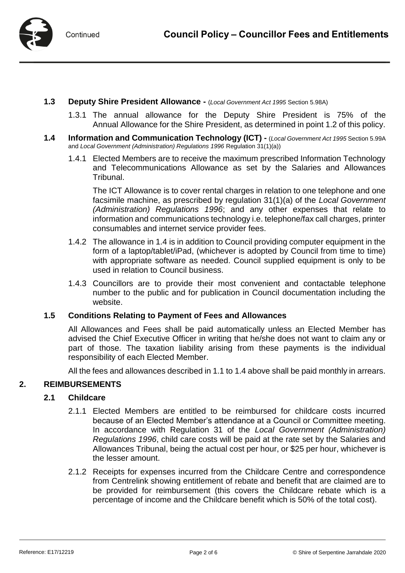

- **1.3 Deputy Shire President Allowance -** (*Local Government Act 1995* Section 5.98A)
	- 1.3.1 The annual allowance for the Deputy Shire President is 75% of the Annual Allowance for the Shire President, as determined in point 1.2 of this policy.
- **1.4 Information and Communication Technology (ICT) -** (*Local Government Act 1995* Section 5.99A and *Local Government (Administration) Regulations 1996* Regulation 31(1)(a))
	- 1.4.1 Elected Members are to receive the maximum prescribed Information Technology and Telecommunications Allowance as set by the Salaries and Allowances Tribunal.

The ICT Allowance is to cover rental charges in relation to one telephone and one facsimile machine, as prescribed by regulation 31(1)(a) of the *Local Government (Administration) Regulations 1996*; and any other expenses that relate to information and communications technology i.e. telephone/fax call charges, printer consumables and internet service provider fees.

- 1.4.2 The allowance in 1.4 is in addition to Council providing computer equipment in the form of a laptop/tablet/iPad, (whichever is adopted by Council from time to time) with appropriate software as needed. Council supplied equipment is only to be used in relation to Council business.
- 1.4.3 Councillors are to provide their most convenient and contactable telephone number to the public and for publication in Council documentation including the website.

#### **1.5 Conditions Relating to Payment of Fees and Allowances**

All Allowances and Fees shall be paid automatically unless an Elected Member has advised the Chief Executive Officer in writing that he/she does not want to claim any or part of those. The taxation liability arising from these payments is the individual responsibility of each Elected Member.

All the fees and allowances described in 1.1 to 1.4 above shall be paid monthly in arrears.

#### **2. REIMBURSEMENTS**

#### **2.1 Childcare**

- 2.1.1 Elected Members are entitled to be reimbursed for childcare costs incurred because of an Elected Member's attendance at a Council or Committee meeting. In accordance with Regulation 31 of the *Local Government (Administration) Regulations 1996*, child care costs will be paid at the rate set by the Salaries and Allowances Tribunal, being the actual cost per hour, or \$25 per hour, whichever is the lesser amount.
- 2.1.2 Receipts for expenses incurred from the Childcare Centre and correspondence from Centrelink showing entitlement of rebate and benefit that are claimed are to be provided for reimbursement (this covers the Childcare rebate which is a percentage of income and the Childcare benefit which is 50% of the total cost).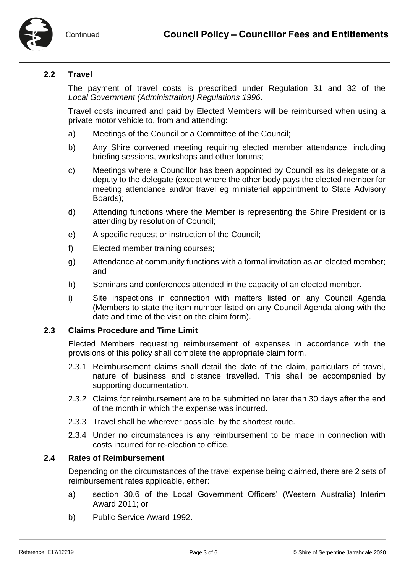

## **2.2 Travel**

The payment of travel costs is prescribed under Regulation 31 and 32 of the *Local Government (Administration) Regulations 1996*.

Travel costs incurred and paid by Elected Members will be reimbursed when using a private motor vehicle to, from and attending:

- a) Meetings of the Council or a Committee of the Council;
- b) Any Shire convened meeting requiring elected member attendance, including briefing sessions, workshops and other forums;
- c) Meetings where a Councillor has been appointed by Council as its delegate or a deputy to the delegate (except where the other body pays the elected member for meeting attendance and/or travel eg ministerial appointment to State Advisory Boards);
- d) Attending functions where the Member is representing the Shire President or is attending by resolution of Council;
- e) A specific request or instruction of the Council;
- f) Elected member training courses;
- g) Attendance at community functions with a formal invitation as an elected member; and
- h) Seminars and conferences attended in the capacity of an elected member.
- i) Site inspections in connection with matters listed on any Council Agenda (Members to state the item number listed on any Council Agenda along with the date and time of the visit on the claim form).

#### **2.3 Claims Procedure and Time Limit**

Elected Members requesting reimbursement of expenses in accordance with the provisions of this policy shall complete the appropriate claim form.

- 2.3.1 Reimbursement claims shall detail the date of the claim, particulars of travel, nature of business and distance travelled. This shall be accompanied by supporting documentation.
- 2.3.2 Claims for reimbursement are to be submitted no later than 30 days after the end of the month in which the expense was incurred.
- 2.3.3 Travel shall be wherever possible, by the shortest route.
- 2.3.4 Under no circumstances is any reimbursement to be made in connection with costs incurred for re-election to office.

## **2.4 Rates of Reimbursement**

Depending on the circumstances of the travel expense being claimed, there are 2 sets of reimbursement rates applicable, either:

- a) section 30.6 of the Local Government Officers' (Western Australia) Interim Award 2011; or
- b) Public Service Award 1992.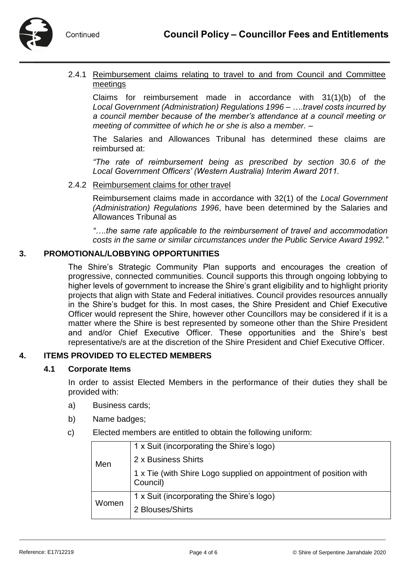

- Continued
- 2.4.1 Reimbursement claims relating to travel to and from Council and Committee meetings

Claims for reimbursement made in accordance with 31(1)(b) of the *Local Government (Administration) Regulations 1996* – *….travel costs incurred by a council member because of the member's attendance at a council meeting or meeting of committee of which he or she is also a member. –*

The Salaries and Allowances Tribunal has determined these claims are reimbursed at:

*"The rate of reimbursement being as prescribed by section 30.6 of the Local Government Officers' (Western Australia) Interim Award 2011.*

#### 2.4.2 Reimbursement claims for other travel

Reimbursement claims made in accordance with 32(1) of the *Local Government (Administration) Regulations 1996*, have been determined by the Salaries and Allowances Tribunal as

*"….the same rate applicable to the reimbursement of travel and accommodation costs in the same or similar circumstances under the Public Service Award 1992."*

## **3. PROMOTIONAL/LOBBYING OPPORTUNITIES**

The Shire's Strategic Community Plan supports and encourages the creation of progressive, connected communities. Council supports this through ongoing lobbying to higher levels of government to increase the Shire's grant eligibility and to highlight priority projects that align with State and Federal initiatives. Council provides resources annually in the Shire's budget for this. In most cases, the Shire President and Chief Executive Officer would represent the Shire, however other Councillors may be considered if it is a matter where the Shire is best represented by someone other than the Shire President and and/or Chief Executive Officer. These opportunities and the Shire's best representative/s are at the discretion of the Shire President and Chief Executive Officer.

## **4. ITEMS PROVIDED TO ELECTED MEMBERS**

#### **4.1 Corporate Items**

In order to assist Elected Members in the performance of their duties they shall be provided with:

- a) Business cards;
- b) Name badges;
- c) Elected members are entitled to obtain the following uniform:

| Men   | 1 x Suit (incorporating the Shire's logo)                                     |
|-------|-------------------------------------------------------------------------------|
|       | 2 x Business Shirts                                                           |
|       | 1 x Tie (with Shire Logo supplied on appointment of position with<br>Council) |
| Women | 1 x Suit (incorporating the Shire's logo)                                     |
|       | 2 Blouses/Shirts                                                              |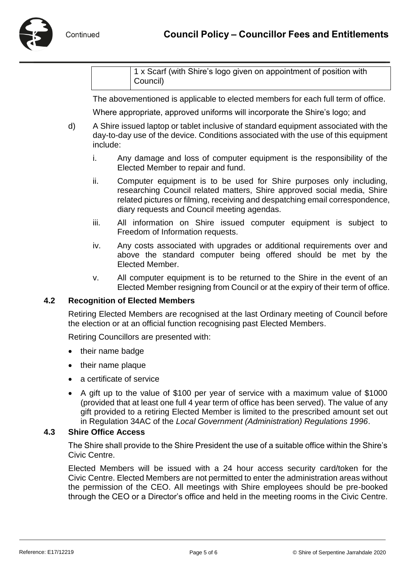1 x Scarf (with Shire's logo given on appointment of position with Council)

The abovementioned is applicable to elected members for each full term of office.

Where appropriate, approved uniforms will incorporate the Shire's logo; and

- d) A Shire issued laptop or tablet inclusive of standard equipment associated with the day-to-day use of the device. Conditions associated with the use of this equipment include:
	- i. Any damage and loss of computer equipment is the responsibility of the Elected Member to repair and fund.
	- ii. Computer equipment is to be used for Shire purposes only including, researching Council related matters, Shire approved social media, Shire related pictures or filming, receiving and despatching email correspondence, diary requests and Council meeting agendas.
	- iii. All information on Shire issued computer equipment is subject to Freedom of Information requests.
	- iv. Any costs associated with upgrades or additional requirements over and above the standard computer being offered should be met by the Elected Member.
	- v. All computer equipment is to be returned to the Shire in the event of an Elected Member resigning from Council or at the expiry of their term of office.

#### **4.2 Recognition of Elected Members**

Retiring Elected Members are recognised at the last Ordinary meeting of Council before the election or at an official function recognising past Elected Members.

Retiring Councillors are presented with:

- their name badge
- their name plaque
- a certificate of service
- A gift up to the value of \$100 per year of service with a maximum value of \$1000 (provided that at least one full 4 year term of office has been served). The value of any gift provided to a retiring Elected Member is limited to the prescribed amount set out in Regulation 34AC of the *Local Government (Administration) Regulations 1996*.

#### **4.3 Shire Office Access**

The Shire shall provide to the Shire President the use of a suitable office within the Shire's Civic Centre.

Elected Members will be issued with a 24 hour access security card/token for the Civic Centre. Elected Members are not permitted to enter the administration areas without the permission of the CEO. All meetings with Shire employees should be pre-booked through the CEO or a Director's office and held in the meeting rooms in the Civic Centre.